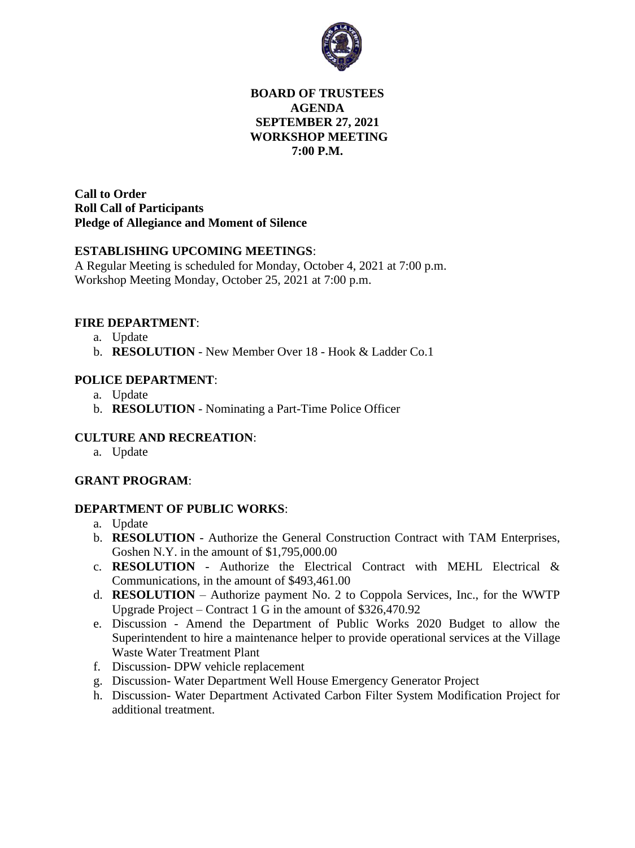

## **BOARD OF TRUSTEES AGENDA SEPTEMBER 27, 2021 WORKSHOP MEETING 7:00 P.M.**

**Call to Order Roll Call of Participants Pledge of Allegiance and Moment of Silence** 

#### **ESTABLISHING UPCOMING MEETINGS**:

A Regular Meeting is scheduled for Monday, October 4, 2021 at 7:00 p.m. Workshop Meeting Monday, October 25, 2021 at 7:00 p.m.

#### **FIRE DEPARTMENT**:

- a. Update
- b. **RESOLUTION** New Member Over 18 Hook & Ladder Co.1

## **POLICE DEPARTMENT**:

- a. Update
- b. **RESOLUTION** Nominating a Part-Time Police Officer

## **CULTURE AND RECREATION**:

a. Update

#### **GRANT PROGRAM**:

#### **DEPARTMENT OF PUBLIC WORKS**:

- a. Update
- b. **RESOLUTION**  Authorize the General Construction Contract with TAM Enterprises, Goshen N.Y. in the amount of \$1,795,000.00
- c. **RESOLUTION** Authorize the Electrical Contract with MEHL Electrical & Communications, in the amount of \$493,461.00
- d. **RESOLUTION** Authorize payment No. 2 to Coppola Services, Inc., for the WWTP Upgrade Project – Contract 1 G in the amount of \$326,470.92
- e. Discussion Amend the Department of Public Works 2020 Budget to allow the Superintendent to hire a maintenance helper to provide operational services at the Village Waste Water Treatment Plant
- f. Discussion- DPW vehicle replacement
- g. Discussion- Water Department Well House Emergency Generator Project
- h. Discussion- Water Department Activated Carbon Filter System Modification Project for additional treatment.